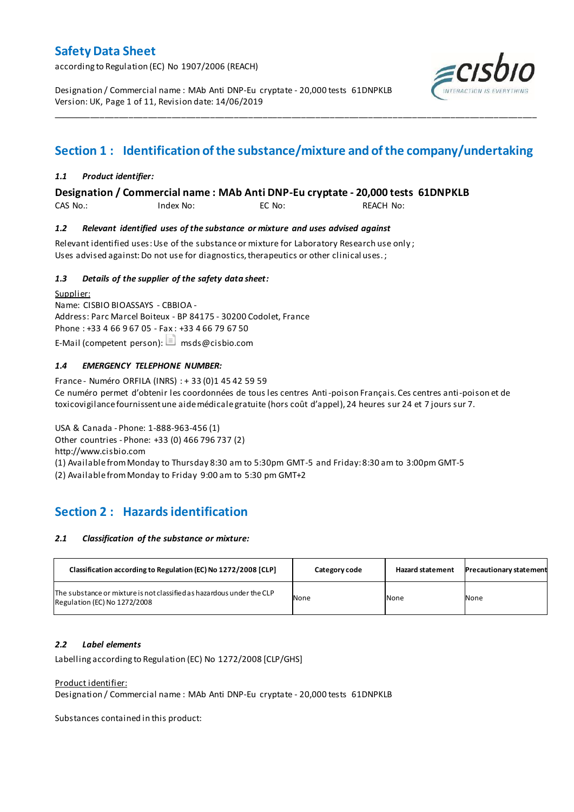according to Regulation (EC) No 1907/2006 (REACH)

Designation / Commercial name : MAb Anti DNP-Eu cryptate - 20,000 tests 61DNPKLB Version: UK, Page 1 of 11, Revision date: 14/06/2019



# **Section 1 : Identification of the substance/mixture and of the company/undertaking**

\_\_\_\_\_\_\_\_\_\_\_\_\_\_\_\_\_\_\_\_\_\_\_\_\_\_\_\_\_\_\_\_\_\_\_\_\_\_\_\_\_\_\_\_\_\_\_\_\_\_\_\_\_\_\_\_\_\_\_\_\_\_\_\_\_\_\_\_\_\_\_\_\_\_\_\_\_\_\_\_\_\_\_\_\_\_\_\_\_\_\_\_\_\_\_\_\_\_\_\_\_

### *1.1 Product identifier:*

**Designation / Commercial name : MAb Anti DNP-Eu cryptate - 20,000 tests 61DNPKLB** 

CAS No.: Index No: EC No: REACH No:

### *1.2 Relevant identified uses of the substance or mixture and uses advised against*

Relevant identified uses: Use of the substance or mixture for Laboratory Research use only ; Uses advised against: Do not use for diagnostics, therapeutics or other clinical uses.;

### *1.3 Details of the supplier of the safety data sheet:*

Supplier: Name: CISBIO BIOASSAYS - CBBIOA - Address: Parc Marcel Boiteux - BP 84175 - 30200 Codolet, France Phone : +33 4 66 9 67 05 - Fax : +33 4 66 79 67 50 E-Mail (competent person):  $\Box$  msds@cisbio.com

### *1.4 EMERGENCY TELEPHONE NUMBER:*

France - Numéro ORFILA (INRS) : + 33 (0)1 45 42 59 59 Ce numéro permet d'obtenir les coordonnées de tous les centres Anti-poison Français. Ces centres anti-poison et de toxicovigilance fournissent une aide médicale gratuite (hors coût d'appel), 24 heures sur 24 et 7 jours sur 7.

USA & Canada - Phone: 1-888-963-456 (1) Other countries - Phone: +33 (0) 466 796 737 (2) http://www.cisbio.com (1) Available from Monday to Thursday 8:30 am to 5:30pm GMT-5 and Friday: 8:30 am to 3:00pm GMT-5

(2) Available from Monday to Friday 9:00 am to 5:30 pm GMT+2

## **Section 2 : Hazards identification**

#### *2.1 Classification of the substance or mixture:*

| Classification according to Regulation (EC) No 1272/2008 [CLP]                                        | Category code | <b>Hazard statement</b> | <b>Precautionary statement</b> |
|-------------------------------------------------------------------------------------------------------|---------------|-------------------------|--------------------------------|
| The substance or mixture is not classified as hazardous under the CLP<br>Regulation (EC) No 1272/2008 | None          | None                    | None                           |

### *2.2 Label elements*

Labelling according to Regulation (EC) No 1272/2008 [CLP/GHS]

#### Product identifier:

Designation / Commercial name : MAb Anti DNP-Eu cryptate - 20,000 tests 61DNPKLB

Substances contained in this product: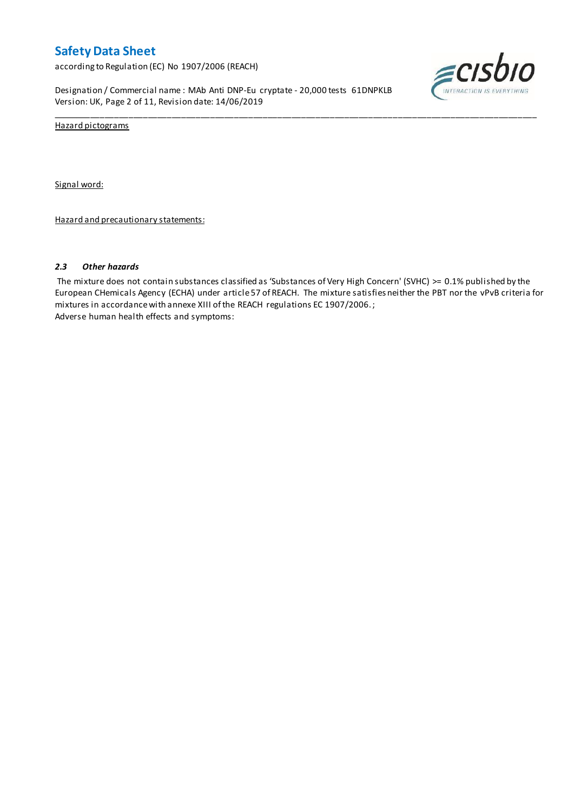according to Regulation (EC) No 1907/2006 (REACH)

Designation / Commercial name : MAb Anti DNP-Eu cryptate - 20,000 tests 61DNPKLB Version: UK, Page 2 of 11, Revision date: 14/06/2019



Hazard pictograms

Signal word:

Hazard and precautionary statements:

#### *2.3 Other hazards*

The mixture does not contain substances classified as 'Substances of Very High Concern' (SVHC) >= 0.1% published by the European CHemicals Agency (ECHA) under article 57 of REACH. The mixture satisfies neither the PBT nor the vPvB criteria for mixtures in accordance with annexe XIII of the REACH regulations EC 1907/2006. ; Adverse human health effects and symptoms:

\_\_\_\_\_\_\_\_\_\_\_\_\_\_\_\_\_\_\_\_\_\_\_\_\_\_\_\_\_\_\_\_\_\_\_\_\_\_\_\_\_\_\_\_\_\_\_\_\_\_\_\_\_\_\_\_\_\_\_\_\_\_\_\_\_\_\_\_\_\_\_\_\_\_\_\_\_\_\_\_\_\_\_\_\_\_\_\_\_\_\_\_\_\_\_\_\_\_\_\_\_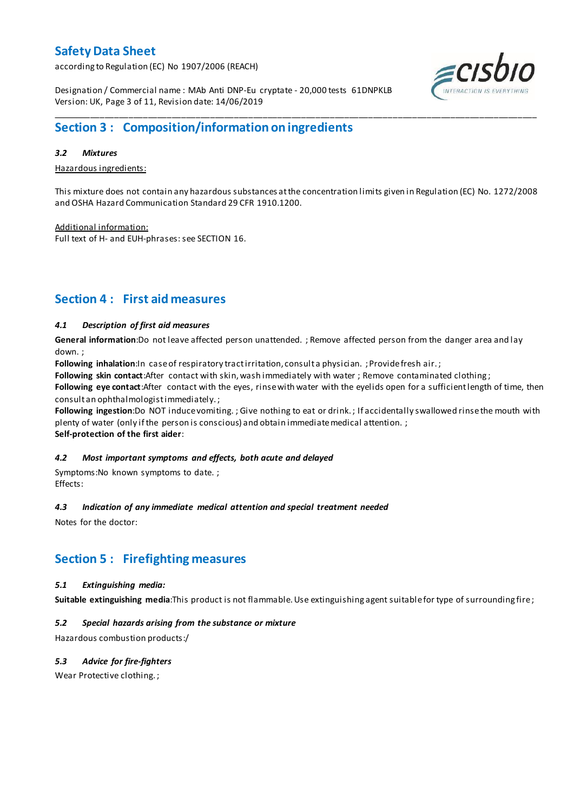according to Regulation (EC) No 1907/2006 (REACH)



Designation / Commercial name : MAb Anti DNP-Eu cryptate - 20,000 tests 61DNPKLB Version: UK, Page 3 of 11, Revision date: 14/06/2019

## **Section 3 : Composition/information on ingredients**

### *3.2 Mixtures*

Hazardous ingredients:

This mixture does not contain any hazardous substances at the concentration limits given in Regulation (EC) No. 1272/2008 and OSHA Hazard Communication Standard 29 CFR 1910.1200.

\_\_\_\_\_\_\_\_\_\_\_\_\_\_\_\_\_\_\_\_\_\_\_\_\_\_\_\_\_\_\_\_\_\_\_\_\_\_\_\_\_\_\_\_\_\_\_\_\_\_\_\_\_\_\_\_\_\_\_\_\_\_\_\_\_\_\_\_\_\_\_\_\_\_\_\_\_\_\_\_\_\_\_\_\_\_\_\_\_\_\_\_\_\_\_\_\_\_\_\_\_

Additional information: Full text of H- and EUH-phrases: see SECTION 16.

## **Section 4 : First aid measures**

### *4.1 Description of first aid measures*

**General information**:Do not leave affected person unattended. ; Remove affected person from the danger area and lay down. ;

Following inhalation:In case of respiratory tract irritation, consult a physician. ; Provide fresh air.;

**Following skin contact**:After contact with skin, wash immediately with water ; Remove contaminated clothing ;

**Following eye contact**:After contact with the eyes, rinse with water with the eyelids open for a sufficient length of time, then consult an ophthalmologist immediately. ;

**Following ingestion**:Do NOT induce vomiting. ; Give nothing to eat or drink. ; If accidentally swallowed rinse the mouth with plenty of water (only if the person is conscious) and obtain immediate medical attention. ;

**Self-protection of the first aider**:

### *4.2 Most important symptoms and effects, both acute and delayed*

Symptoms:No known symptoms to date. ; Effects:

### *4.3 Indication of any immediate medical attention and special treatment needed*

Notes for the doctor:

## **Section 5 : Firefighting measures**

### *5.1 Extinguishing media:*

**Suitable extinguishing media**:This product is not flammable. Use extinguishing agent suitable for type of surrounding fire ;

### *5.2 Special hazards arising from the substance or mixture*

Hazardous combustion products:/

### *5.3 Advice for fire-fighters*

Wear Protective clothing. ;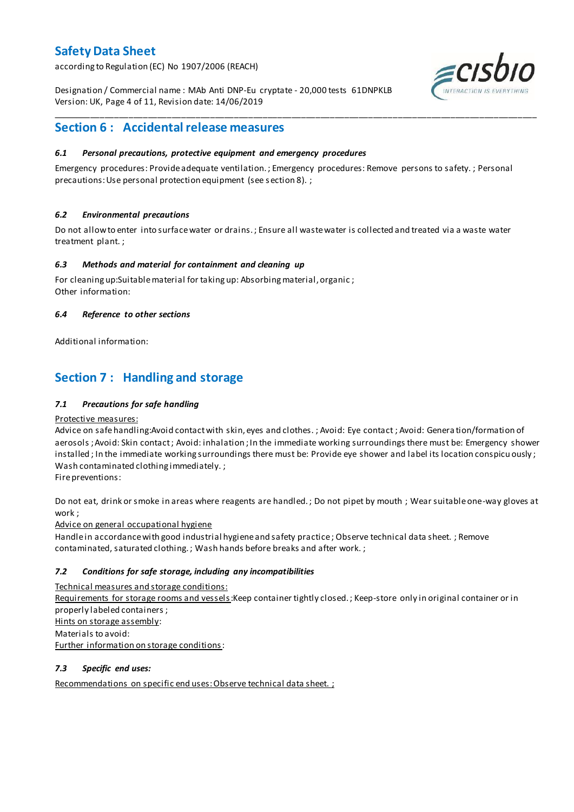according to Regulation (EC) No 1907/2006 (REACH)

Designation / Commercial name : MAb Anti DNP-Eu cryptate - 20,000 tests 61DNPKLB Version: UK, Page 4 of 11, Revision date: 14/06/2019



## **Section 6 : Accidental release measures**

### *6.1 Personal precautions, protective equipment and emergency procedures*

Emergency procedures: Provide adequate ventilation. ; Emergency procedures: Remove persons to safety. ; Personal precautions: Use personal protection equipment (see s ection 8). ;

\_\_\_\_\_\_\_\_\_\_\_\_\_\_\_\_\_\_\_\_\_\_\_\_\_\_\_\_\_\_\_\_\_\_\_\_\_\_\_\_\_\_\_\_\_\_\_\_\_\_\_\_\_\_\_\_\_\_\_\_\_\_\_\_\_\_\_\_\_\_\_\_\_\_\_\_\_\_\_\_\_\_\_\_\_\_\_\_\_\_\_\_\_\_\_\_\_\_\_\_\_

### *6.2 Environmental precautions*

Do not allow to enter into surface water or drains. ; Ensure all waste water is collected and treated via a waste water treatment plant. ;

#### *6.3 Methods and material for containment and cleaning up*

For cleaning up:Suitable material for taking up: Absorbing material, organic ; Other information:

### *6.4 Reference to other sections*

Additional information:

## **Section 7 : Handling and storage**

### *7.1 Precautions for safe handling*

#### Protective measures:

Advice on safe handling:Avoid contact with skin, eyes and clothes. ; Avoid: Eye contact ; Avoid: Genera tion/formation of aerosols ; Avoid: Skin contact ; Avoid: inhalation ; In the immediate working surroundings there must be: Emergency shower installed ; In the immediate working surroundings there must be: Provide eye shower and label its location conspicu ously ; Wash contaminated clothing immediately. ;

Fire preventions:

Do not eat, drink or smoke in areas where reagents are handled. ; Do not pipet by mouth ; Wear suitable one-way gloves at work ;

Advice on general occupational hygiene

Handle in accordance with good industrial hygiene and safety practice ; Observe technical data sheet. ; Remove contaminated, saturated clothing. ; Wash hands before breaks and after work. ;

### *7.2 Conditions for safe storage, including any incompatibilities*

Technical measures and storage conditions:

Requirements for storage rooms and vessels: Keep container tightly closed. ; Keep-store only in original container or in properly labeled containers ; Hints on storage assembly: Materials to avoid: Further information on storage conditions:

#### *7.3 Specific end uses:*

Recommendations on specific end uses: Observe technical data sheet. ;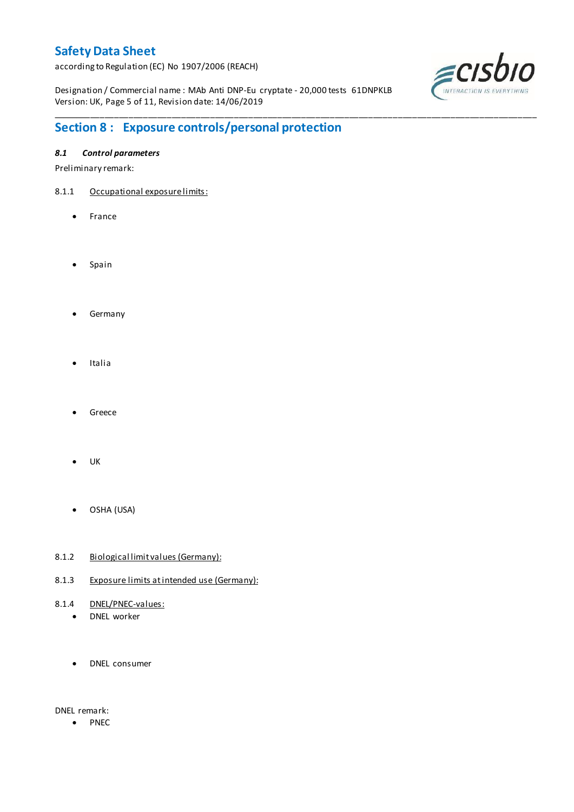according to Regulation (EC) No 1907/2006 (REACH)

Designation / Commercial name : MAb Anti DNP-Eu cryptate - 20,000 tests 61DNPKLB Version: UK, Page 5 of 11, Revision date: 14/06/2019

\_\_\_\_\_\_\_\_\_\_\_\_\_\_\_\_\_\_\_\_\_\_\_\_\_\_\_\_\_\_\_\_\_\_\_\_\_\_\_\_\_\_\_\_\_\_\_\_\_\_\_\_\_\_\_\_\_\_\_\_\_\_\_\_\_\_\_\_\_\_\_\_\_\_\_\_\_\_\_\_\_\_\_\_\_\_\_\_\_\_\_\_\_\_\_\_\_\_\_\_\_



# **Section 8 : Exposure controls/personal protection**

### *8.1 Control parameters*

Preliminary remark:

- 8.1.1 Occupational exposure limits:
	- France
	- Spain
	- **•** Germany
	- Italia
	- Greece
	- UK
	- OSHA (USA)
- 8.1.2 Biological limit values (Germany):
- 8.1.3 Exposure limits at intended use (Germany):
- 8.1.4 DNEL/PNEC-values:
	- DNEL worker
	- DNEL consumer

DNEL remark:

• PNEC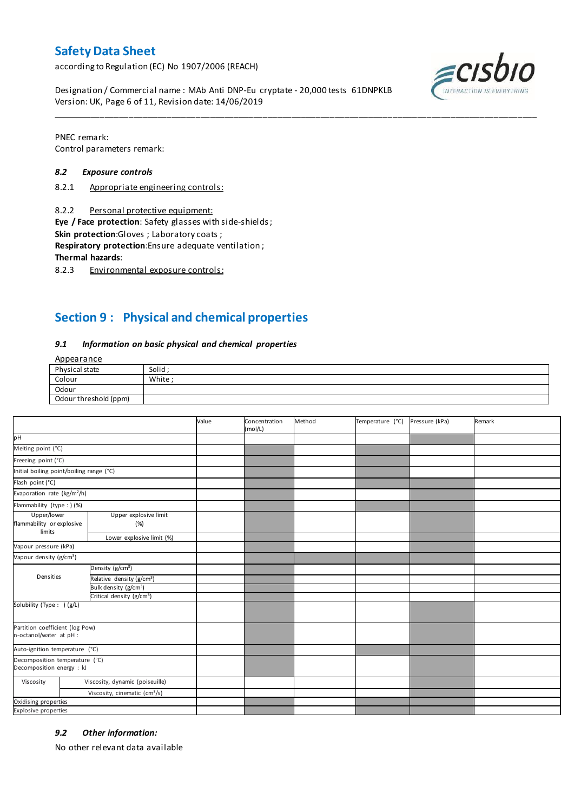according to Regulation (EC) No 1907/2006 (REACH)

Designation / Commercial name : MAb Anti DNP-Eu cryptate - 20,000 tests 61DNPKLB Version: UK, Page 6 of 11, Revision date: 14/06/2019



PNEC remark: Control parameters remark:

#### *8.2 Exposure controls*

- 8.2.1 Appropriate engineering controls:
- 8.2.2 Personal protective equipment:

**Eye / Face protection**: Safety glasses with side-shields ;

**Skin protection**:Gloves ; Laboratory coats ;

**Respiratory protection**:Ensure adequate ventilation ;

**Thermal hazards**:

8.2.3 Environmental exposure controls:

## **Section 9 : Physical and chemical properties**

#### *9.1 Information on basic physical and chemical properties*

Appearance

| Physical state        | Solid  |
|-----------------------|--------|
| Colour                | White: |
| Odour                 |        |
| Odour threshold (ppm) |        |

\_\_\_\_\_\_\_\_\_\_\_\_\_\_\_\_\_\_\_\_\_\_\_\_\_\_\_\_\_\_\_\_\_\_\_\_\_\_\_\_\_\_\_\_\_\_\_\_\_\_\_\_\_\_\_\_\_\_\_\_\_\_\_\_\_\_\_\_\_\_\_\_\_\_\_\_\_\_\_\_\_\_\_\_\_\_\_\_\_\_\_\_\_\_\_\_\_\_\_\_\_

|                                                             |                                           | Value | Concentration<br>(mol/L) | Method | Temperature (°C) | Pressure (kPa) | Remark |
|-------------------------------------------------------------|-------------------------------------------|-------|--------------------------|--------|------------------|----------------|--------|
| pH                                                          |                                           |       |                          |        |                  |                |        |
| Melting point (°C)                                          |                                           |       |                          |        |                  |                |        |
| Freezing point (°C)                                         |                                           |       |                          |        |                  |                |        |
| Initial boiling point/boiling range (°C)                    |                                           |       |                          |        |                  |                |        |
| Flash point (°C)                                            |                                           |       |                          |        |                  |                |        |
| Evaporation rate (kg/m <sup>2</sup> /h)                     |                                           |       |                          |        |                  |                |        |
| Flammability (type : ) (%)                                  |                                           |       |                          |        |                  |                |        |
| Upper/lower<br>flammability or explosive<br>limits          | Upper explosive limit<br>(%)              |       |                          |        |                  |                |        |
|                                                             | Lower explosive limit (%)                 |       |                          |        |                  |                |        |
| Vapour pressure (kPa)                                       |                                           |       |                          |        |                  |                |        |
| Vapour density (g/cm <sup>3</sup> )                         |                                           |       |                          |        |                  |                |        |
|                                                             | Density (g/cm <sup>3</sup> )              |       |                          |        |                  |                |        |
| Densities                                                   | Relative density (g/cm <sup>3</sup> )     |       |                          |        |                  |                |        |
|                                                             | Bulk density (g/cm <sup>3</sup> )         |       |                          |        |                  |                |        |
|                                                             | Critical density (g/cm <sup>3</sup> )     |       |                          |        |                  |                |        |
| Solubility (Type: ) (g/L)                                   |                                           |       |                          |        |                  |                |        |
| Partition coefficient (log Pow)<br>n-octanol/water at pH :  |                                           |       |                          |        |                  |                |        |
| Auto-ignition temperature (°C)                              |                                           |       |                          |        |                  |                |        |
| Decomposition temperature (°C)<br>Decomposition energy : kJ |                                           |       |                          |        |                  |                |        |
| Viscosity                                                   | Viscosity, dynamic (poiseuille)           |       |                          |        |                  |                |        |
|                                                             | Viscosity, cinematic (cm <sup>3</sup> /s) |       |                          |        |                  |                |        |
| Oxidising properties                                        |                                           |       |                          |        |                  |                |        |
| Explosive properties                                        |                                           |       |                          |        |                  |                |        |

#### *9.2 Other information:*

No other relevant data available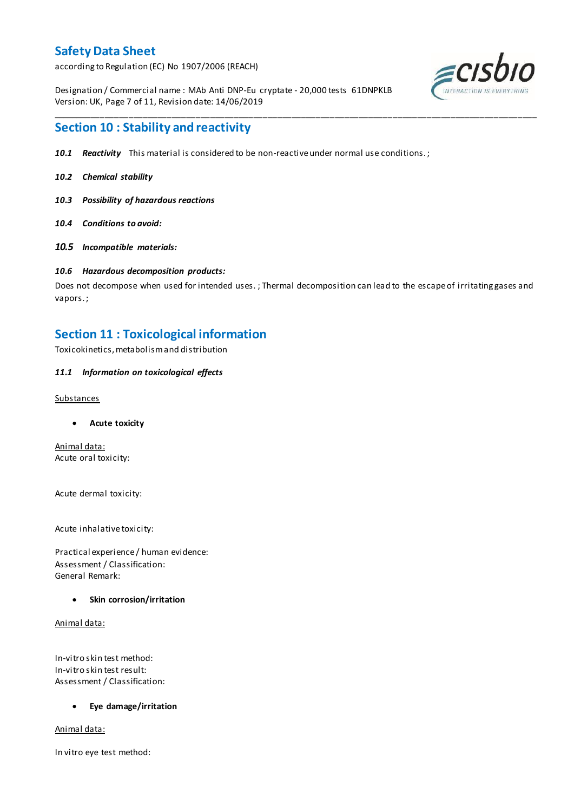according to Regulation (EC) No 1907/2006 (REACH)

Designation / Commercial name : MAb Anti DNP-Eu cryptate - 20,000 tests 61DNPKLB Version: UK, Page 7 of 11, Revision date: 14/06/2019



## **Section 10 : Stability and reactivity**

- *10.1 Reactivity* This material is considered to be non-reactive under normal use conditions. ;
- *10.2 Chemical stability*
- *10.3 Possibility of hazardous reactions*
- *10.4 Conditions to avoid:*
- *10.5 Incompatible materials:*

#### *10.6 Hazardous decomposition products:*

Does not decompose when used for intended uses. ; Thermal decomposition can lead to the escape of irritating gases and vapors. ;

\_\_\_\_\_\_\_\_\_\_\_\_\_\_\_\_\_\_\_\_\_\_\_\_\_\_\_\_\_\_\_\_\_\_\_\_\_\_\_\_\_\_\_\_\_\_\_\_\_\_\_\_\_\_\_\_\_\_\_\_\_\_\_\_\_\_\_\_\_\_\_\_\_\_\_\_\_\_\_\_\_\_\_\_\_\_\_\_\_\_\_\_\_\_\_\_\_\_\_\_\_

### **Section 11 : Toxicological information**

Toxicokinetics, metabolism and distribution

#### *11.1 Information on toxicological effects*

#### Substances

**Acute toxicity**

Animal data: Acute oral toxicity:

Acute dermal toxicity:

Acute inhalative toxicity:

Practical experience / human evidence: Assessment / Classification: General Remark:

#### **Skin corrosion/irritation**

Animal data:

In-vitro skin test method: In-vitro skin test result: Assessment / Classification:

#### **Eye damage/irritation**

Animal data:

In vitro eye test method: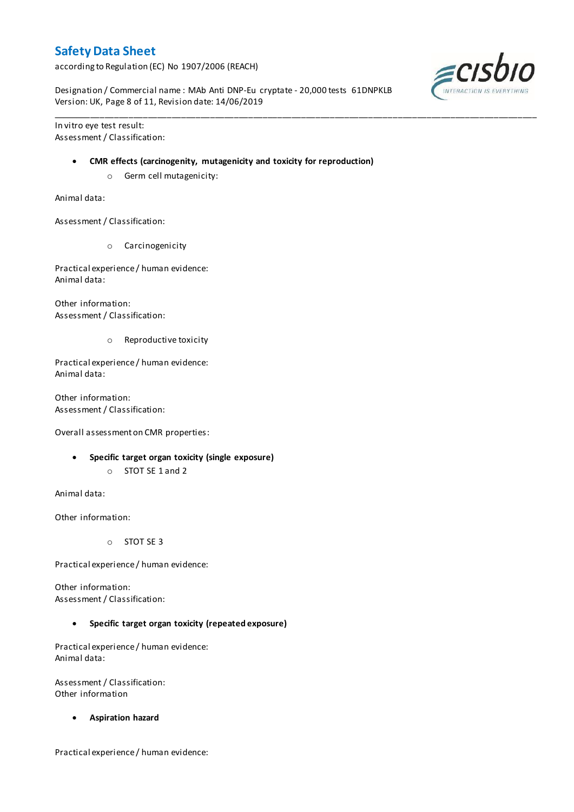according to Regulation (EC) No 1907/2006 (REACH)

Designation / Commercial name : MAb Anti DNP-Eu cryptate - 20,000 tests 61DNPKLB Version: UK, Page 8 of 11, Revision date: 14/06/2019

\_\_\_\_\_\_\_\_\_\_\_\_\_\_\_\_\_\_\_\_\_\_\_\_\_\_\_\_\_\_\_\_\_\_\_\_\_\_\_\_\_\_\_\_\_\_\_\_\_\_\_\_\_\_\_\_\_\_\_\_\_\_\_\_\_\_\_\_\_\_\_\_\_\_\_\_\_\_\_\_\_\_\_\_\_\_\_\_\_\_\_\_\_\_\_\_\_\_\_\_\_

In vitro eye test result: Assessment / Classification:

#### **CMR effects (carcinogenity, mutagenicity and toxicity for reproduction)**

o Germ cell mutagenicity:

Animal data:

Assessment / Classification:

o Carcinogenicity

Practical experience / human evidence: Animal data:

Other information: Assessment / Classification:

o Reproductive toxicity

Practical experience / human evidence: Animal data:

Other information: Assessment / Classification:

Overall assessment on CMR properties:

- **Specific target organ toxicity (single exposure)**
	- o STOT SE 1 and 2

Animal data:

Other information:

o STOT SE 3

Practical experience / human evidence:

Other information: Assessment / Classification:

**Specific target organ toxicity (repeated exposure)**

Practical experience / human evidence: Animal data:

Assessment / Classification: Other information

**Aspiration hazard**

Practical experience / human evidence:

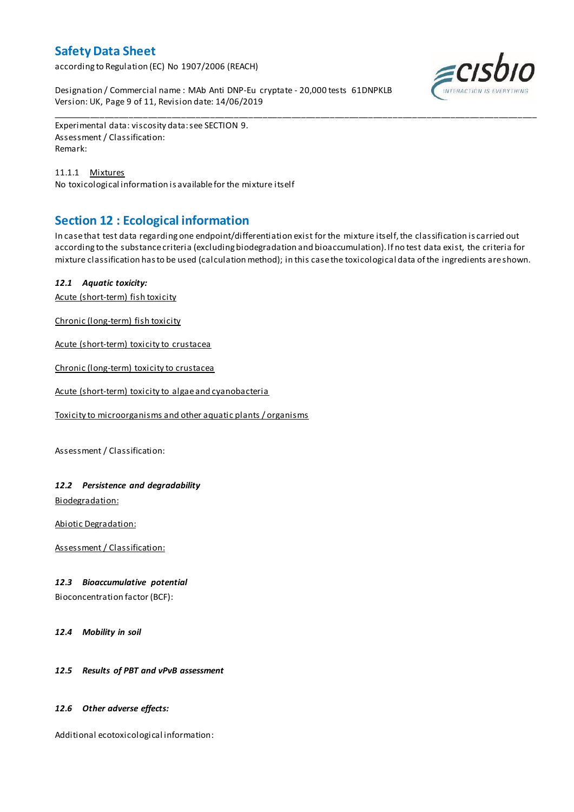according to Regulation (EC) No 1907/2006 (REACH)

Designation / Commercial name : MAb Anti DNP-Eu cryptate - 20,000 tests 61DNPKLB Version: UK, Page 9 of 11, Revision date: 14/06/2019



Experimental data: viscosity data: see SECTION 9. Assessment / Classification: Remark:

11.1.1 Mixtures No toxicological information is available for the mixture itself

## **Section 12 : Ecological information**

In case that test data regarding one endpoint/differentiation exist for the mixture itself, the classification is carried out according to the substance criteria (excluding biodegradation and bioaccumulation). If no test data exist, the criteria for mixture classification has to be used (calculation method); in this case the toxicological data of the ingredients are shown.

\_\_\_\_\_\_\_\_\_\_\_\_\_\_\_\_\_\_\_\_\_\_\_\_\_\_\_\_\_\_\_\_\_\_\_\_\_\_\_\_\_\_\_\_\_\_\_\_\_\_\_\_\_\_\_\_\_\_\_\_\_\_\_\_\_\_\_\_\_\_\_\_\_\_\_\_\_\_\_\_\_\_\_\_\_\_\_\_\_\_\_\_\_\_\_\_\_\_\_\_\_

### *12.1 Aquatic toxicity:*

Acute (short-term) fish toxicity

Chronic (long-term) fish toxicity

Acute (short-term) toxicity to crustacea

Chronic (long-term) toxicity to crustacea

Acute (short-term) toxicity to algae and cyanobacteria

Toxicity to microorganisms and other aquatic plants / organisms

Assessment / Classification:

### *12.2 Persistence and degradability*

Biodegradation:

Abiotic Degradation:

Assessment / Classification:

### *12.3 Bioaccumulative potential*

Bioconcentration factor (BCF):

*12.4 Mobility in soil*

#### *12.5 Results of PBT and vPvB assessment*

#### *12.6 Other adverse effects:*

Additional ecotoxicological information: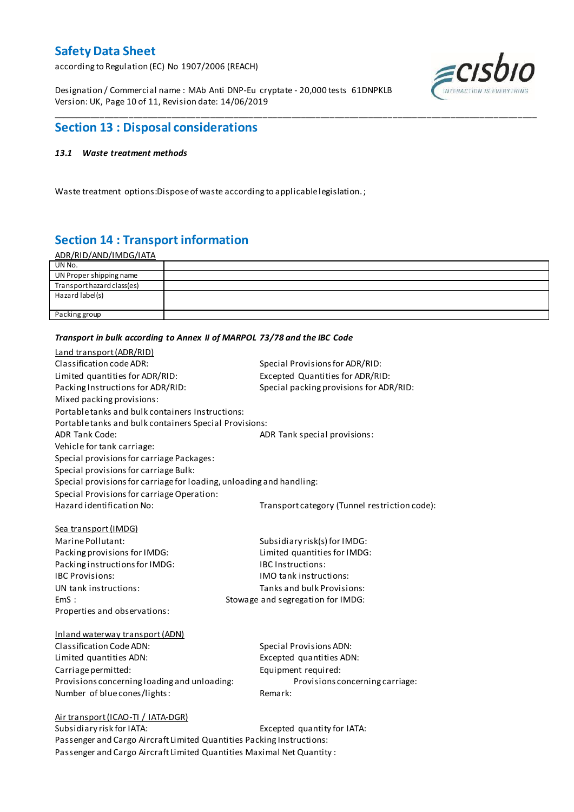according to Regulation (EC) No 1907/2006 (REACH)

Designation / Commercial name : MAb Anti DNP-Eu cryptate - 20,000 tests 61DNPKLB Version: UK, Page 10 of 11, Revision date: 14/06/2019



## **Section 13 : Disposal considerations**

#### *13.1 Waste treatment methods*

Waste treatment options:Dispose of waste according to applicable legislation. ;

## **Section 14 : Transport information**

| <u>ADR/RID/AND/IMDG/IATA</u> |  |
|------------------------------|--|
| UN No.                       |  |
| UN Proper shipping name      |  |
| Transport hazard class(es)   |  |
| Hazard label(s)              |  |
|                              |  |
| Packing group                |  |
|                              |  |

\_\_\_\_\_\_\_\_\_\_\_\_\_\_\_\_\_\_\_\_\_\_\_\_\_\_\_\_\_\_\_\_\_\_\_\_\_\_\_\_\_\_\_\_\_\_\_\_\_\_\_\_\_\_\_\_\_\_\_\_\_\_\_\_\_\_\_\_\_\_\_\_\_\_\_\_\_\_\_\_\_\_\_\_\_\_\_\_\_\_\_\_\_\_\_\_\_\_\_\_\_

#### *Transport in bulk according to Annex II of MARPOL 73/78 and the IBC Code*

| Land transport (ADR/RID)                                             |                                               |
|----------------------------------------------------------------------|-----------------------------------------------|
| Classification code ADR:                                             | Special Provisions for ADR/RID:               |
| Limited quantities for ADR/RID:                                      | Excepted Quantities for ADR/RID:              |
| Packing Instructions for ADR/RID:                                    | Special packing provisions for ADR/RID:       |
| Mixed packing provisions:                                            |                                               |
| Portable tanks and bulk containers Instructions:                     |                                               |
| Portable tanks and bulk containers Special Provisions:               |                                               |
| <b>ADR Tank Code:</b>                                                | ADR Tank special provisions:                  |
| Vehicle for tank carriage:                                           |                                               |
| Special provisions for carriage Packages:                            |                                               |
| Special provisions for carriage Bulk:                                |                                               |
| Special provisions for carriage for loading, unloading and handling: |                                               |
| Special Provisions for carriage Operation:                           |                                               |
| Hazard identification No:                                            | Transport category (Tunnel restriction code): |
|                                                                      |                                               |
| Sea transport (IMDG)                                                 |                                               |
| Marine Pollutant:                                                    | Subsidiary risk(s) for IMDG:                  |
| Packing provisions for IMDG:                                         | Limited quantities for IMDG:                  |
| Packing instructions for IMDG:                                       | <b>IBC Instructions:</b>                      |
| <b>IBC Provisions:</b>                                               | <b>IMO</b> tank instructions:                 |
| UN tank instructions:                                                | Tanks and bulk Provisions:                    |
| EmS:                                                                 | Stowage and segregation for IMDG:             |
| Properties and observations:                                         |                                               |
|                                                                      |                                               |
| Inland waterway transport (ADN)                                      |                                               |
| Classification Code ADN:                                             | <b>Special Provisions ADN:</b>                |
| Limited quantities ADN:                                              | Excepted quantities ADN:                      |
| Carriage permitted:                                                  | Equipment required:                           |
| Provisions concerning loading and unloading:                         | Provisions concerning carriage:               |
| Number of blue cones/lights:                                         | Remark:                                       |
|                                                                      |                                               |
| Air transport (ICAO-TI / IATA-DGR)<br>Subsidiary risk for IATA:      | Excepted quantity for IATA:                   |
|                                                                      |                                               |

Passenger and Cargo Aircraft Limited Quantities Packing Instructions: Passenger and Cargo Aircraft Limited Quantities Maximal Net Quantity :